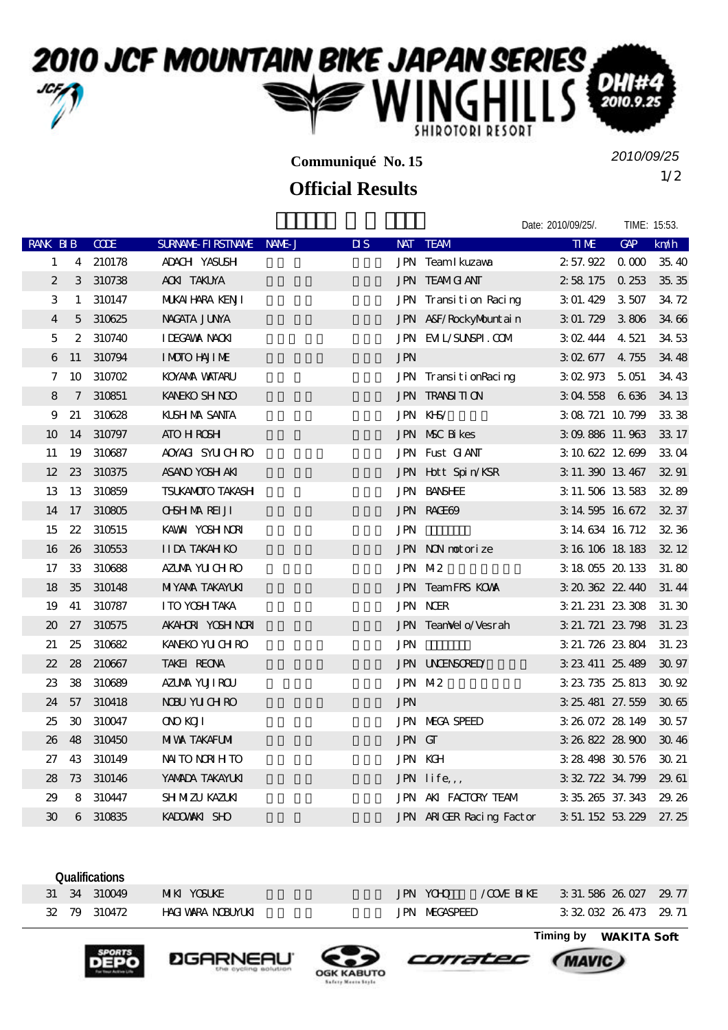## 2010 JCF MOUNTAIN BIKE JAPAN SERIES

**Communiqué No. 15**

## **Official Results**

1/2 *2010/09/25*

Date: 2010/09/25/. TIME: 15:53.

## RANK BIB CODE SURNAME-FIRSTNAME NAME-JUS NAT TEAM THE THE GAP km/h 1 4 210178 ADACH YASUSH JPN Team Ikuzawa 2:57.922 0.000 35.40  $2$  3 310738 AOKI TAKUYA **TAKUYA 12 58.175** 0.253 35.35 3 1 310147 MUKAIHARA KENJI JPN Transition Racing 3:01.429 3:507 34.72 4 5 310625 NAGATA JUNYA 永田 隼也 神奈川 JPN A&F/RockyMountain 3:01.729 3.806 34.66 5 2 310740 IDEGAWA NAOKI JPN EVIL/SUNSPI.COM 3:02.444 4.521 34.53 6 11 310794 IMOTO HAJIME **IMOTO HAJIME**  $JPN$   $3 \times 677 + 4.755 + 34.48$ 7 10 310702 KOYANA WATARU JPN TransitionRacing 3:02.973 5:051 34:43 8 7 310851 KANEKO SHINGO 200 1 JPN TRANSITION 3:04.558 6.636 34.13 9 21 310628 KUSHIMA SANTA 1 JPN KHS/ 3:08.721 10.799 33.38 10 14 310797 ATO HROSH JPN MSC Bikes 3:09.886 11.963 33.17  $11 \quad 19 \quad 310687$   $20\%$   $40\%$   $31\%$   $30\%$   $31\%$   $30\%$   $31\%$   $30\%$   $31\%$   $31\%$   $31\%$   $31\%$   $31\%$   $31\%$   $31\%$   $31\%$   $31\%$   $31\%$   $31\%$   $31\%$   $31\%$   $31\%$   $31\%$   $31\%$   $31\%$   $31\%$   $31\%$   $31\%$   $31\%$ 12 23 310375 ASANO YOSH AKI JPN Hott Spin/KSR 3:11.390 13:467 32:91 13 13 310859 TSUKAMOTO TAKASHI JPN BANSHEE 3:11.506 13.583 32.89 14 17 310805 OHSHIMA REIJI JPN RAGE69 3:14.595 16.672 32.37 15 22 310515 KAWAI YOSHINORI 河合 良紀 三重県 JPN カントリーナッツ 3:14.634 16.712 32.36 16 26 310553 IIDA TAKAHIKO JPN NON motorize 3:16.106 18:183 32:12 17 33 310688 AZUMA YULCHIRO JPN M-2 3:18.055 20.133 31.80 18 35 310148 MIYANA TAKAYUKI 20 JPN Team FRS KOWA 3:20.362 22.440 31.44 19 41 310787 ITO YOSHITAKA 伊藤 良高 愛知県 JPN NCER 3:21.231 23.308 31.30 20 27 310575 AKAHORI YOSHINORI 52 JPN TeamVelo/Vesrah 3:21.721 23.798 31.23 21 25 310682 KANEKO YUUCH RO **JPN 3:21.726 23.804 31.23**  $22$   $28$   $210667$  TAKEI REONA  $197$  TAKEI REONA  $323.411$   $25.489$   $30.97$  $23 \quad 38 \quad 310689$   $\quad 471 \text{M} \quad \text{N} \quad \text{M} \quad \text{M} \quad \text{M} \quad \text{M} \quad \text{M} \quad \text{M} \quad \text{M} \quad \text{M} \quad \text{M} \quad \text{M} \quad \text{M} \quad \text{M} \quad \text{M} \quad \text{M} \quad \text{M} \quad \text{M} \quad \text{M} \quad \text{M} \quad \text{M} \quad \text{M} \quad \text{M} \quad \text{M} \quad \text{M} \quad \text{M} \quad \text{M} \quad \text{M} \$ 24 57 310418 NOBU YUCH RO **JPN** 3:25.481 27.559 30.65 25 30 310047 ONO KOJI 1900 1900 JPN MEGA SPEED 3:26.072 28.149 30.57 26 48 310450 MIWA TAKAFUMI 20 JPN GT 3:26.822 28.900 30.46 27 43 310149 NAITO NORIHITO JPN KGH 3:28.498 30.576 30.21 28 73 310146 YAMADA TAKAYUKI JPN life,, 3:32.722 34.799 29.61 29 8 310447 SHIMIZU KAZUKI **KAZUKI AKI AKI FACTORY TEAM** 3:35.265 37.343 29.26 30 6 310835 KADOWAKI SHO **The State of State Art ARIGER** Racing Factor 3:51.152 53.229 27.25

**Qualifications** 31 34 310049 MIKI YOSUKE JPN YOHO / COVE BIKE 3:31.586 26.027 29.77 32 79 310472 HAGIWARA NOBUYUKI KALENDARA KERASPEED 3:32.032 26.473 29.71

**Timing by** *WAKITA Soft*

*MAVIC* 







corratec